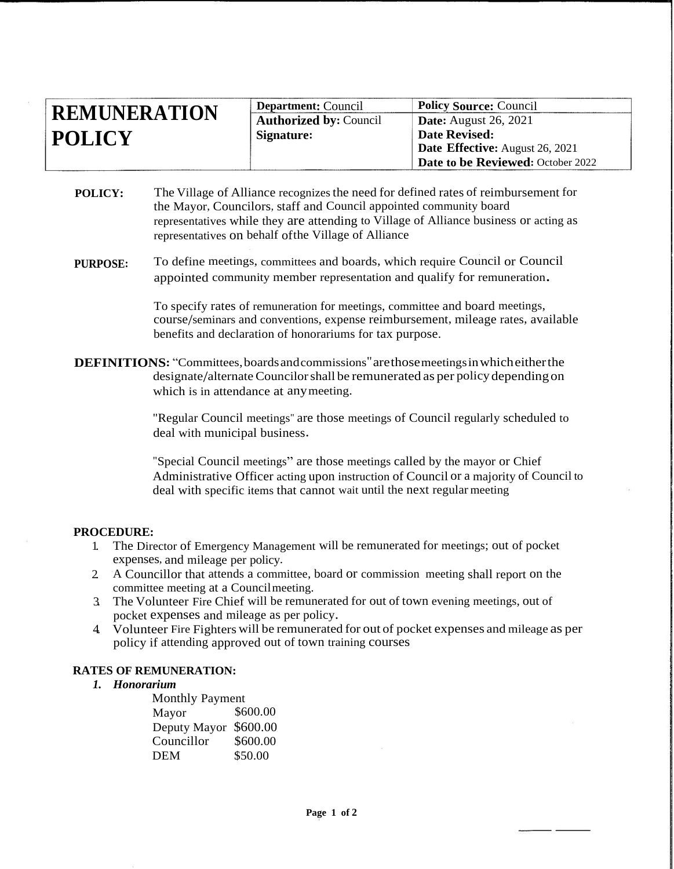| <b>REMUNERATION</b> | <b>Department:</b> Council    | <b>Policy Source: Council</b>     |
|---------------------|-------------------------------|-----------------------------------|
|                     | <b>Authorized by: Council</b> | Date: August 26, 2021             |
| <b>POLICY</b>       | Signature:                    | <b>Date Revised:</b>              |
|                     |                               | Date Effective: August 26, 2021   |
|                     |                               | Date to be Reviewed: October 2022 |

**POLICY:** The Village of Alliance recognizes the need for defined rates of reimbursement for the Mayor, Councilors, staff and Council appointed community board representatives while they are attending to Village of Alliance business or acting as representatives on behalf ofthe Village of Alliance

#### **PURPOSE:** To define meetings, committees and boards, which require Council or Council appointed community member representation and qualify for remuneration.

To specify rates of remuneration for meetings, committee and board meetings, course/seminars and conventions, expense reimbursement, mileage rates, available benefits and declaration of honorariums for tax purpose.

**DEFINITIONS:** "Committees,boardsandcommissions"arethosemeetingsinwhicheitherthe designate/alternateCouncilorshall be remunerated as per policy dependingon which is in attendance at any meeting.

> "Regular Council meetings" are those meetings of Council regularly scheduled to deal with municipal business.

"Special Council meetings" are those meetings called by the mayor or Chief Administrative Officer acting upon instruction of Council or a majority of Council to deal with specific items that cannot wait until the next regular meeting

### **PROCEDURE:**

- 1. The Director of Emergency Management will be remunerated for meetings; out of pocket expenses, and mileage per policy.
- 2. A Councillor that attends a committee, board or commission meeting shall report on the committee meeting at a Councilmeeting.
- 3. The Volunteer Fire Chief will be remunerated for out of town evening meetings, out of pocket expenses and mileage as per policy.
- 4. Volunteer Fire Fighters will be remunerated for out of pocket expenses and mileage as per policy if attending approved out of town training courses

### **RATES OF REMUNERATION:**

*1. Honorarium*

| <b>Monthly Payment</b> |          |  |
|------------------------|----------|--|
| Mayor                  | \$600.00 |  |
| Deputy Mayor           | \$600.00 |  |
| Councillor             | \$600.00 |  |
| <b>DEM</b>             | \$50.00  |  |